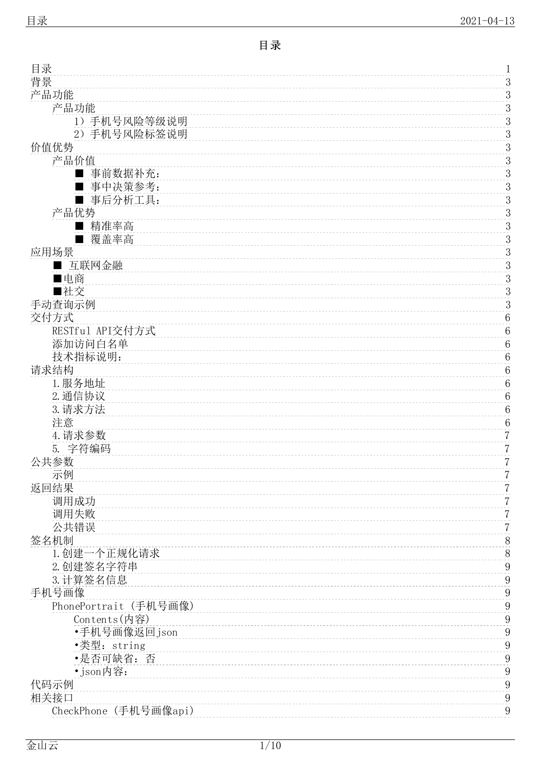<span id="page-0-0"></span>

| 目录                    | $\mathbf 1$      |
|-----------------------|------------------|
| 背景                    | $\mathfrak{Z}$   |
| 产品功能                  | 3                |
| 产品功能                  | $\boldsymbol{3}$ |
| 1) 手机号风险等级说明          | 3                |
| 2) 手机号风险标签说明          | 3                |
| 价值优势                  | $\mathfrak{Z}$   |
| 产品价值                  | 3                |
| 事前数据补充:<br>■          | $\boldsymbol{3}$ |
| 事中决策参考:               | 3                |
| 事后分析工具:               | $\boldsymbol{3}$ |
| 产品优势                  | $\mathfrak{Z}$   |
| 精准率高<br>٠             | 3                |
| 覆盖率高                  | $\boldsymbol{3}$ |
| 应用场景                  | 3                |
| 互联网金融                 | $\mathfrak 3$    |
| ■电商                   | $\mathfrak{Z}$   |
| ■社交                   | 3                |
| 手动查询示例                | $\boldsymbol{3}$ |
| 交付方式                  | $\,6\,$          |
| RESTful API交付方式       | $\,6\,$          |
| 添加访问白名单               | $\,6\,$          |
| 技术指标说明:               | $\,6\,$          |
| 请求结构                  | $\,6\,$          |
| 1. 服务地址               | $\,6\,$          |
| 2. 通信协议               | $\,6\,$          |
| 3. 请求方法               | $\,6\,$          |
| 注意                    | $\,6\,$          |
| 4. 请求参数               | $\overline{7}$   |
| 5. 字符编码               | $\sqrt{2}$       |
| 公共参数                  | $\overline{7}$   |
| 示例                    | 7                |
| 返回结果                  | $\sqrt{2}$       |
| 调用成功                  | 7                |
| 调用失败                  | $\overline{7}$   |
| 公共错误                  | $\overline{7}$   |
| 签名机制                  | 8                |
| 1. 创建一个正规化请求          | $8\,$            |
| 2. 创建签名字符串            | $\overline{9}$   |
| 3. 计算签名信息             | $\overline{9}$   |
| 手机号画像                 | 9                |
| PhonePortrait (手机号画像) | 9                |
| Contents(内容)          | 9                |
| •手机号画像返回json          | 9                |
| •类型: string           | $\overline{9}$   |
| •是否可缺省:否              | 9                |
| • json内容:             | 9                |
| 代码示例                  | 9                |
| 相关接口                  | $\overline{9}$   |
| CheckPhone (手机号画像api) | 9                |
|                       |                  |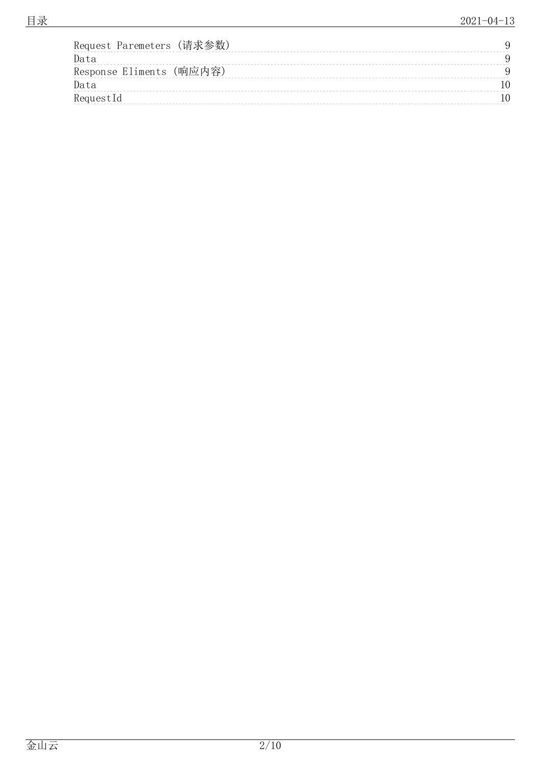| Request Paremeters (请求参数) |  |
|---------------------------|--|
| Data                      |  |
| Response Eliments (响应内容)  |  |
| Data                      |  |
| RequestId                 |  |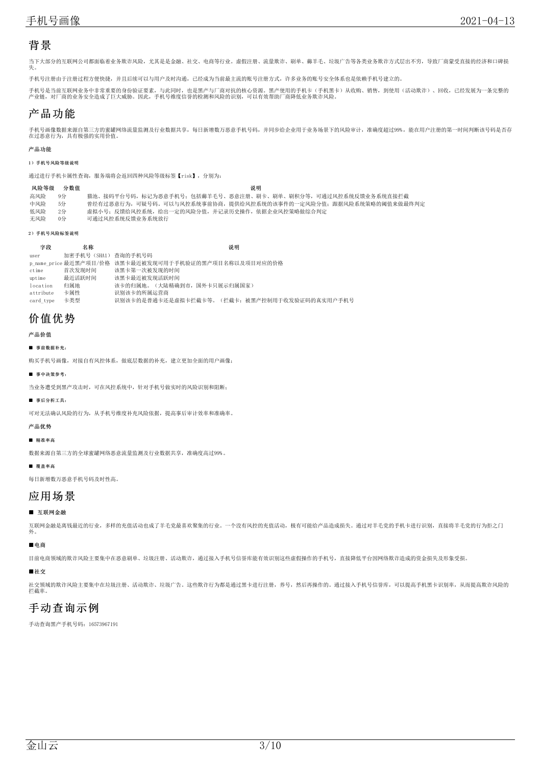## <span id="page-2-0"></span>背景

当下大部分的互联网公司都面临着业务欺诈风险,尤其是是金融、社交、电商等行业。虚假注册、流量欺诈、刷单、薅羊毛、垃圾广告等各类业务欺诈方式层出不穷,导致厂商蒙受直接的经济和口碑损<br>失。

手机号注册由于注册过程方便快捷,并且后续可以与用户及时沟通,已经成为当前最主流的账号注册方式,许多业务的账号安全体系也是依赖手机号建立的。

手机号是当前互联网业务中非常重要的身份验证要素,与此同时,也是黑产与厂商对抗的核心资源。黑产使用的手机卡(手机黑卡)从收购、销售,到使用(活动欺诈)、回收,已经发展为一条完整的<br>产业链,对厂商的业务安全造成了巨大威胁。因此,手机号维度信誉的检测和风险的识别,可以有效帮助厂商降低业务欺诈风险。

## <span id="page-2-1"></span>产品功能

手机号画像数据来源自第三方的蜜罐网络流量监测及行业数据共享,每日新增数万恶意手机号码,并同步给企业用于业务场景下的风险审计,准确度超过99%,能在用户注册的第一时间判断该号码是否存<br>在过恶意行为,具有极强的实用价值。

#### <span id="page-2-2"></span>产品功能

#### <span id="page-2-3"></span>1)手机号风险等级说明

通过进行手机卡属性查询,服务端将会返回四种风险等级标签【risk】,分别为:

#### 风险等级 分数值 みんしょう かいしょう かんこう かんこう こうしゅう こうしゅう 説明

| 高风险 9分 | 猫池、接码平台号码,标记为恶意手机号:包括薅羊毛号、恶意注册、刷卡、刷单、刷积分等,可通过风控系统反馈业务系统直接拦截    |
|--------|----------------------------------------------------------------|
| 中风险 5分 | 曾经有过恶意行为,可疑号码。可以与风控系统事前协商,提供给风控系统的该事件的一定风险分值;跟据风险系统策略的阈值来做最终判定 |
|        |                                                                |

- 低风险 2分 虚拟小号;反馈给风控系统,给出一定的风险分值,并记录历史操作,依据企业风控策略做综合判定 无风险 0分 可通过风控系统反馈业务系统放行
- <span id="page-2-4"></span>2)手机号风险标签说明

| 字段        | 名称                  | 说明                                                     |
|-----------|---------------------|--------------------------------------------------------|
| user      | 加密手机号(SHA1) 查询的手机号码 |                                                        |
|           |                     | p_name_price 最近黑产项目/价格 该黑卡最近被发现可用于手机验证的黑产项目名称以及项目对应的价格 |
| ctime     | 首次发现时间              | 该黑卡第一次被发现的时间                                           |
| uptime    | 最近活跃时间              | 该黑卡最近被发现活跃时间                                           |
| location  | 归属地                 | 该卡的归属地。(大陆精确到市, 国外卡只展示归属国家)                            |
| attribute | 卡属性                 | 识别该卡的所属运营商                                             |
| card type | 卡类型                 | 识别该卡的是普通卡还是虚拟卡拦截卡等。(拦截卡: 被黑产控制用于收发验证码的真实用户手机号          |

## <span id="page-2-5"></span>价值优势

<span id="page-2-6"></span>产品价值

<span id="page-2-7"></span>■ 事前数据补充:

购买手机号画像,对接自有风控体系,做底层数据的补充,建立更加全面的用户画像;

<span id="page-2-8"></span>■ 事中决策参考:

当业务遭受到黑产攻击时,可在风控系统中,针对手机号做实时的风险识别和阻断;

#### <span id="page-2-9"></span>■ 事后分析工具:

可对无法确认风险的行为,从手机号维度补充风险依据,提高事后审计效率和准确率。

#### <span id="page-2-10"></span>产品优势

<span id="page-2-11"></span>■ 精准率高

数据来源自第三方的全球蜜罐网络恶意流量监测及行业数据共享,准确度高过99%。

<span id="page-2-12"></span>■ 覆盖率高

每日新增数万恶意手机号码及时性高。

## <span id="page-2-13"></span>应用场景

### <span id="page-2-14"></span>■ 互联网金融

互联网金融是离钱最近的行业,多样的充值活动也成了羊毛党最喜欢聚集的行业。一个没有风控的充值活动,极有可能给产品造成损失。通过对羊毛党的手机卡进行识别,直接将羊毛党的行为拒之门 外。

#### <span id="page-2-15"></span>■电商

目前电商领域的欺诈风险主要集中在恶意刷单、垃圾注册、活动欺诈,通过接入手机号信誉库能有效识别这些虚假操作的手机号,直接降低平台因网络欺诈造成的资金损失及形象受损。

<span id="page-2-16"></span>■社交

社交领域的欺诈风险主要集中在垃圾注册、活动欺诈、垃圾广告。这些欺诈行为都是通过黑卡进行注册,养号,然后再操作的。通过接入手机号信誉库,可以提高手机黑卡识别率,从而提高欺诈风险的 拦截率。

## <span id="page-2-17"></span>手动查询示例

手动查询黑产手机号码:16573967191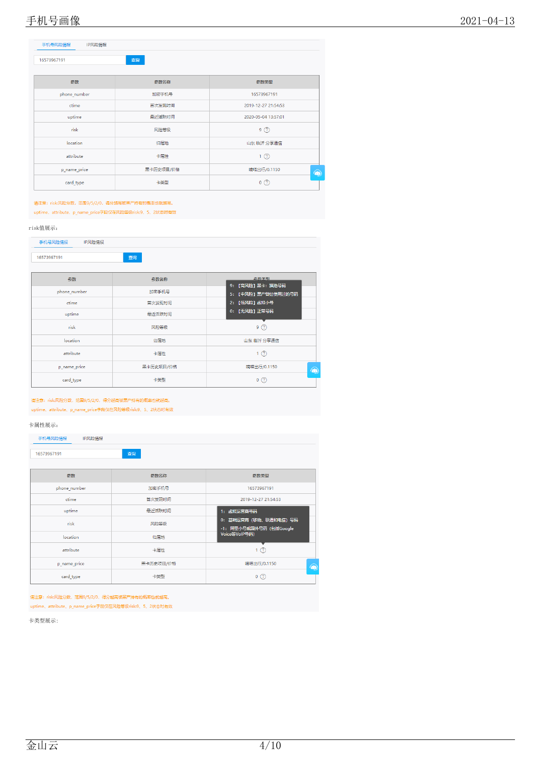| 16573967191  | 查询        |                     |
|--------------|-----------|---------------------|
| 参数           | 参数名称      | 参数类型                |
| phone_number | 加密手机号     | 16573967191         |
| ctime        | 首次发现时间    | 2019-12-27 21:54:53 |
| uptime       | 最近活跃时间    | 2020-05-04 13:57:01 |
| risk         | 风险等级      | 9(2)                |
| location     | 归属地       | 山东 临沂 分享通信          |
| attribute    | 卡属性       | 1(2)                |
| p_name_price | 黑卡历史项目/价格 | 嘀嗒出行/0.1150         |
| card_type    | 卡类型       | $0$ $\circled{2}$   |

请注意: risk:风险分数, 范围9/5/2/0, 得分越高被黑产持有的概率也就越高。 uptime、attribute、p\_name\_price字段仅在风险等级risk:9、5、2状态时有效

#### risk值展示:

| 手机号风险情报<br>IP风险情报 |           |                                       |  |  |
|-------------------|-----------|---------------------------------------|--|--|
| 16573967191       | 查询        |                                       |  |  |
| 参数                | 参数名称      | <b>会数米刑</b>                           |  |  |
| phone_number      | 加密手机号     | 9: 【高风险】黑卡:猫池号码<br>5: 【中风险】黑产曾经使用过的号码 |  |  |
| ctime             | 首次发现时间    | 2: 【低风险】虚拟小号                          |  |  |
| uptime            | 最近活跃时间    | 0: [无风险] 正常号码                         |  |  |
| risk              | 风险等级      | 9(2)                                  |  |  |
| location          | 归属地       | 山东 临沂 分享通信                            |  |  |
| attribute         | 卡属性       | 1(2)                                  |  |  |
| p_name_price      | 黑卡历史项目/价格 | 嘀嗒出行/0.1150<br>۵                      |  |  |
| card_type         | 卡类型       | 0(2)                                  |  |  |

### 请注意: risk:风险分数, 范围9/5/2/0, 得分越高被黑产持有的概率也就越高。

uptime、attribute、p\_name\_price字段仅在风险等级risk:9、5、2状态时有效

#### 卡属性展示:

| 手机号风险情报<br>IP风险情报 |           |                                                  |  |  |
|-------------------|-----------|--------------------------------------------------|--|--|
| 16573967191       | 查询        |                                                  |  |  |
| 参数                | 参数名称      | 参数类型                                             |  |  |
| phone_number      | 加密手机号     | 16573967191                                      |  |  |
| ctime             | 首次发现时间    | 2019-12-27 21:54:53                              |  |  |
| uptime            | 最近活跃时间    | 1: 虚拟运营商号码                                       |  |  |
| risk              | 风险等级      | 0: 基础运营商 (移动、联通和电信)号码<br>-1: 阿里小号或国外号码 (包括Google |  |  |
| location          | 归属地       | Voice等VoIP号码)                                    |  |  |
| attribute         | 卡属性       | 1(2)                                             |  |  |
| p_name_price      | 黑卡历史项目/价格 | 嘀嗒出行/0.1150<br>۵                                 |  |  |
| card_type         | 卡类型       | 0(2)                                             |  |  |

请注意: risk:风险分数, 范围9/5/2/0, 得分越高被黑产持有的概率也就越高。

uptime、attribute、p\_name\_price字段仅在风险等级risk:9、5、2状态时有效

卡类型展示: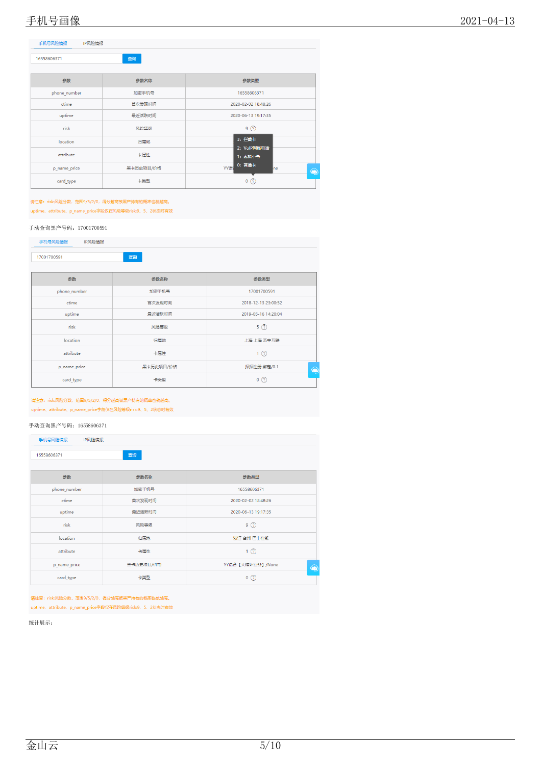| 16558606371  | 查询        |                             |
|--------------|-----------|-----------------------------|
| 参数           | 参数名称      | 参数类型                        |
| phone_number | 加密手机号     | 16558606371                 |
| ctime        | 首次发现时间    | 2020-02-02 18:48:26         |
| uptime       | 最近活跃时间    | 2020-06-13 19:17:35         |
| risk         | 风险等级      | $9$ $\circled{2}$           |
| location     | 归属地       | 3: 拦截卡                      |
| attribute    | 卡属性       | 2: VoIP网络电话<br>1: 虚拟小号      |
| p_name_price | 黑卡历史项目/价格 | 0: 普通卡<br>YY语<br><b>Ine</b> |
| card_type    | 卡类型       | $0$ $\circled{2}$           |

请注意: risk:风险分数, 范围9/5/2/0, 得分越高被黑产持有的概率也就越高。 uptime、attribute、p\_name\_price字段仅在风险等级risk:9、5、2状态时有效

#### 手动查询黑产号码:17001700591

| 手机号风险情报<br>IP风险情报 |           |                     |  |  |  |
|-------------------|-----------|---------------------|--|--|--|
| 17001700591       | 查询        |                     |  |  |  |
|                   |           |                     |  |  |  |
| 参数                | 参数名称      | 参数类型                |  |  |  |
| phone_number      | 加密手机号     | 17001700591         |  |  |  |
| ctime             | 首次发现时间    | 2018-12-13 23:00:52 |  |  |  |
| uptime            | 最近活跃时间    | 2019-05-16 14:20:04 |  |  |  |
| risk              | 风险等级      | 5(2)                |  |  |  |
| location          | 归属地       | 上海 上海 苏宁互联          |  |  |  |
| attribute         | 卡属性       | 1(2)                |  |  |  |
| p_name_price      | 黑卡历史项目/价格 | 探探注册 绑定/0.1<br>۵    |  |  |  |
| card_type         | 卡类型       | 0(2)                |  |  |  |

#### 请注意: risk:风险分数, 范围9/5/2/0, 得分越高被黑产持有的概率也就越高。 uptime、attribute、p\_name\_price字段仅在风险等级risk:9、5、2状态时有效

### 手动查询黑产号码:16558606371

| 手机号风险情报<br>IP风险情报 |           |                       |  |  |
|-------------------|-----------|-----------------------|--|--|
| 查询<br>16558606371 |           |                       |  |  |
| 参数                | 参数名称      | 参数类型                  |  |  |
| phone_number      | 加密手机号     | 16558606371           |  |  |
| ctime             | 首次发现时间    | 2020-02-02 18:48:26   |  |  |
| uptime            | 最近活跃时间    | 2020-06-13 19:17:35   |  |  |
| risk              | 风险等级      | 9(2)                  |  |  |
| location          | 归属地       | 浙江 台州 巴士在线            |  |  |
| attribute         | 卡属性       | 1(2)                  |  |  |
| p_name_price      | 黑卡历史项目/价格 | YY语音【天循环业务】/None<br>۵ |  |  |
| card_type         | 卡类型       | 0(2)                  |  |  |

请注意: risk:风险分数, 范围9/5/2/0, 得分越高被黑产持有的概率也就越高。

uptime、attribute、p\_name\_price字段仅在风险等级risk:9、5、2状态时有效

统计展示: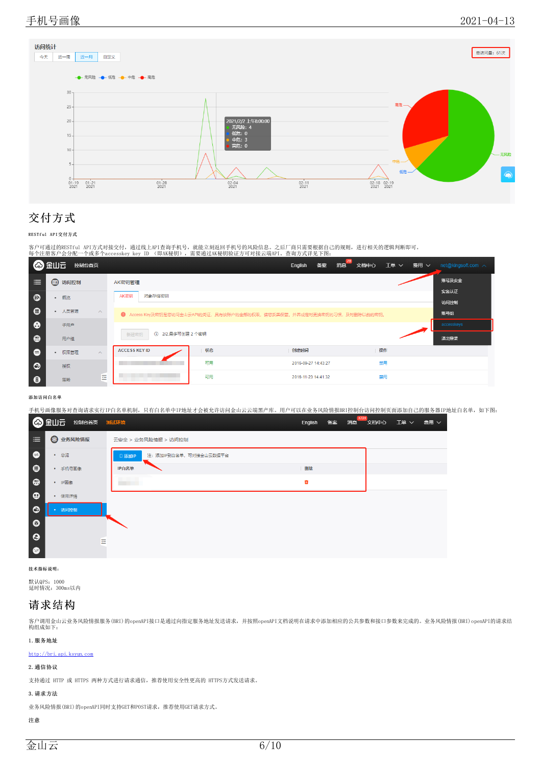

# <span id="page-5-0"></span>交付方式

#### <span id="page-5-1"></span>RESTful API交付方式

客户可通过的RESTful API方式对接交付,通过线上API查询手机号,就能立刻返回手机号的风险信息。之后厂商只需要根据自己的规则,进行相关的逻辑判断即可。<br>每个注册客户会分配一个或多个accesskey key ID (即AK秘钥),需要通过AK秘钥验证方可对接云端API。查询方式详见下图:

|                  | ◎ 金山三<br>控制台首页  |          |                                                                         |    | English | 备案<br>消息            | 文档中心 | 工单 ∨ 费用 ∨ |      | net@kingsoft.com $\land$ |
|------------------|-----------------|----------|-------------------------------------------------------------------------|----|---------|---------------------|------|-----------|------|--------------------------|
| ≡                | <b>[1] 访问控制</b> |          | AK密钥管理                                                                  |    |         |                     |      |           |      | 账号及安全                    |
| ଈ                | 概览<br>$\bullet$ |          | AK密钥<br>对象存储密钥                                                          |    |         |                     |      |           |      | 实名认证<br>访问控制             |
| $\bullet$        | • 人员管理          | $\land$  | 1 Access Key及密钥是您访问金山云API的凭证,具有该账户的全部的权限,请您妥善保管。并养成定时更换密钥的习惯,及时删除以前的密钥。 |    |         |                     |      |           |      | 账号组                      |
| ☎                | 子用户             |          |                                                                         |    |         |                     |      |           |      | accesskeys               |
| $\bullet$        | 用户组             |          | 1 2/2,最多可创建 2 个密钥<br>新建密钥                                               |    |         |                     |      |           | 退出登录 |                          |
| $\bullet$        | 权限管理<br>۰       | $\wedge$ | <b>ACCESS KEY ID</b>                                                    | 状态 | 创建时间    |                     |      | 操作        |      |                          |
| $\bullet$        | 授权              |          |                                                                         | 可用 |         | 2016-09-27 14:43:27 |      | 禁用        |      |                          |
| $\mathbf \Theta$ | 策略              | ∊<br>-   |                                                                         | 可用 |         | 2016-11-23 14:41:32 |      | 禁用        |      |                          |

#### <span id="page-5-2"></span>添加访问白名单

手机号画像服务对查询请求实行IP白名单机制,只有白名单中IP地址才会被允许访问金山云云端黑产库。用户可以在业务风险情报BRI控制台访问控制页面添加自己的服务器IP地址白名单,如下图:

|           | ◎ 金山云 控制台首页 测试环境 |                                   | 消息<br>English<br>备案 | 1721<br>文档中心 工单 ><br>费用 ∨ |
|-----------|------------------|-----------------------------------|---------------------|---------------------------|
| 洼         | <b>@ 业务风险情报</b>  | 云安全 > 业务风险情报 > 访问控制               |                     |                           |
| $\bullet$ | • 总览             | 注: 添加IP到白名单, 可对接金山云数据平台<br>□ 添加IP |                     |                           |
| $\bullet$ | • 手机号画像          | IP白名单                             | 删除                  |                           |
| $\bullet$ | • IP画像           | <b>Contract Contract</b>          | ŵ                   |                           |
| $\bullet$ | • 使用详情           |                                   |                     |                           |
| $\bullet$ | • 访问控制           |                                   |                     |                           |
| $\bullet$ |                  |                                   |                     |                           |
| $\Theta$  | 굔                |                                   |                     |                           |
| $\bullet$ |                  |                                   |                     |                           |

#### <span id="page-5-3"></span>技术指标说明:

默认QPS: 1000<br>延时情况: 300ms以内

### <span id="page-5-4"></span>请求结构

客户调用金山云业务风险情报服务(BRI)的openAPI接口是通过向指定服务地址发送请求,并按照openAPI文档说明在请求中添加相应的公共参数和接口参数来完成的。业务风险情报(BRI)openAPI的请求结<br>构组成如下:

### <span id="page-5-5"></span>1.服务地址

<http://bri.api.ksyun.com>

### <span id="page-5-6"></span>2.通信协议

支持通过 HTTP 或 HTTPS 两种方式进行请求通信,推荐使用安全性更高的 HTTPS方式发送请求。

#### <span id="page-5-7"></span>3.请求方法

业务风险情报(BRI)的openAPI同时支持GET和POST请求, 推荐使用GET请求方式。

#### <span id="page-5-8"></span>注意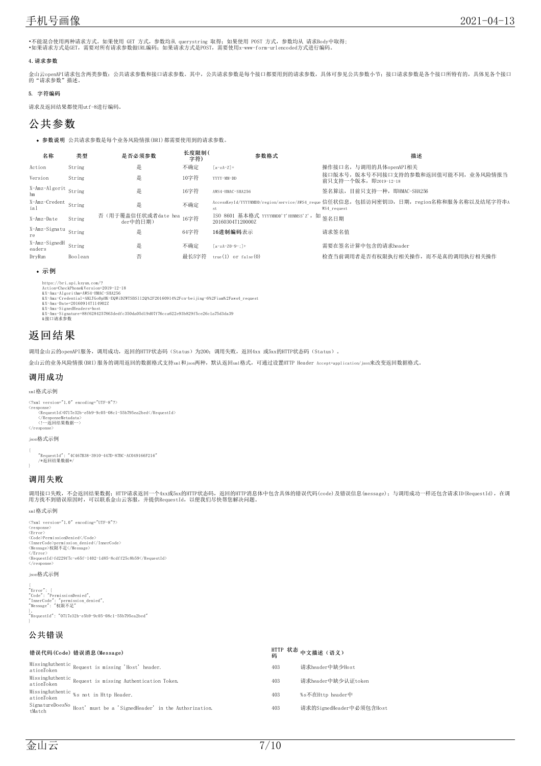•不能混合使用两种请求方式。如果使用 GET 方式,参数均从 querystring 取得,如果使用 POST 方式,参数均从 请求Body中取得;<br>•如果请求方式是GET,需要对所有请求参数做URL编码;如果请求方式是POST,需要使用x-www-form-urlencoded方式进行编码。

#### <span id="page-6-0"></span>4.请求参数

金山云openAPI请求包含两类参数: 公共请求参数和接口请求参数。其中,公共请求参数是每个接口都要用到的请求参数,具体可参见公共参数小节;接口请求参数是各个接口所特有的,具体见各个接口<br>的"请求参数"描述。

### <span id="page-6-1"></span>5. 字符编码

请求及返回结果都使用utf-8进行编码。

## <span id="page-6-2"></span>公共参数

参数说明 公共请求参数是每个业务风险情报(BRI)都需要使用到的请求参数。

| 名称                          | 类型      | 是否必须参数                                | 长度限制(<br>字符) | 参数格式                                                           | 描述                                                                                                    |
|-----------------------------|---------|---------------------------------------|--------------|----------------------------------------------------------------|-------------------------------------------------------------------------------------------------------|
| Action                      | String  | 是                                     | 不确定          | $[a-zA-Z]+$                                                    | 操作接口名, 与调用的具体openAPI相关                                                                                |
| Version                     | String  | 是                                     | 10字符         | YYYY-MM-DD                                                     | 接口版本号, 版本号不同接口支持的参数和返回值可能不同, 业务风险情报当<br>前只支持一个版本, 即2019-12-18                                         |
| X-Amz-Algorit String<br>hm  |         | 是                                     | 16字符         | AWS4-HMAC-SHA256                                               | 签名算法,目前只支持一种,即HMAC-SHA256                                                                             |
| X-Amz-Credent String<br>ial |         | 是                                     | 不确定          | st                                                             | AccessKeyId/YYYYMMDD/region/service/AWS4 reque 信任状信息,包括访问密钥ID,日期,region名称和服务名称以及结尾字符串A<br>WS4 request |
| X-Amz-Date                  | String  | 否 (用于覆盖信任状或者date hea 16字符<br>der中的日期) |              | ISO 8601 基本格式 YYYYMMDD'T'HHMMSS'Z', 如 签名日期<br>20160304T120000Z |                                                                                                       |
| X-Amz-Signatu String<br>re  |         | 是                                     | 64字符         | 16讲制编码表示                                                       | 请求签名值                                                                                                 |
| X-Amz-SignedH<br>eaders     | String  | 是                                     | 不确定          | $[a-zA-Z0-9-1]+$                                               | 需要在签名计算中包含的请求header                                                                                   |
| DrvRun                      | Boolean | 否                                     | 最长5字符        | $true(1)$ or $false(0)$                                        | 检查当前调用者是否有权限执行相关操作,而不是真的调用执行相关操作                                                                      |

#### <span id="page-6-3"></span>示例

https://bri.api.ksyun.com/?<br>Action=CheckPhone&Version=2019-12-18<br>&X-Amz-Algorithme=NW34-HMAC-SHA256<br>&X-Amz-Algorithm=AW3X4-HMAC-SHA256<br>&X-Amz-Date=20160914T114902Z<br>&X-Amz-SignedHeaders=host<br>&X-Amz-SignedHeaders=host<br>&X-Am

## <span id="page-6-4"></span>返回结果

调用金山云的openAPI服务,调用成功,返回的HTTP状态码(Status)为200;调用失败,返回4xx 或5xx的HTTP状态码(Status)。

金山云的业务风险情报(BRI)服务的调用返回的数据格式支持xml和json两种,默认返回xml格式,可通过设置HTTP Header Accept=application/json来改变返回数据格式。

### <span id="page-6-5"></span>调用成功

xml格式示例

<?xml version="1.0" encoding="UTF-8"?> <response>

<RequestId>0717e32b-e5b9-9c05-08c1-55b795ea2bed</RequestId></ResponseMetadata><br></ResponseMetadata><br><!--返回结果数据--><br></response>

#### json格式示例

{ "RequestId": "4C467B38-3910-447D-87BC-AC049166F216" /\*返回结果数据\*/

### <span id="page-6-6"></span>调用失败

调用接口失败,不会返回结果数据;HTTP请求返回一个4xx或5xx的HTTP状态码,返回的HTTP消息体中包含具体的错误代码(code)及错误信息(message);与调用成功一样还包含请求ID(RequestId),在调<br>用方找不到错误原因时,可以联系金山云客服,并提供RequestId,以便我们尽快帮您解决问题。

#### xml格式示例

<?xml version="1.0" encoding="UTF-8"?> <response><br><Code>PermissionDenied</Code><br><Code>PermissionDenied</InnerCode><br><InnerCode>permission\_denied</InnerCode><br><Message>权限不足</Message><br></Error> <RequestId>fd229f7c-e65f-1402-1d85-8cdff25c8b59</RequestId> </response>

### json格式示例

{<br>"Error": {<br>"Code": "PermissionDenied",<br>"Message": "权限不足"<br>"Message": "权限不足" }, "RequestId": "0717e32b-e5b9-9c05-08c1-55b795ea2bed" }

### <span id="page-6-7"></span>公共错误

| 错误代码(Code)错误消息(Message)                                                           |     | HTTP 状态 中文描述(语义)<br>码    |
|-----------------------------------------------------------------------------------|-----|--------------------------|
| MissingAuthentic Request is missing 'Host' header.<br>ationToken                  | 403 | 请求header中缺少Host          |
| MissingAuthentic Request is missing Authentication Token.<br>ationToken           | 403 | 请求header中缺少认证token       |
| MissingAuthentic %s not in Http Header.<br>ationToken                             | 403 | %s不在Http header中         |
| SignatureDoesNo<br>Host' must be a 'SignedHeader' in the Authorization.<br>tMatch | 403 | 请求的SignedHeader中必须包含Host |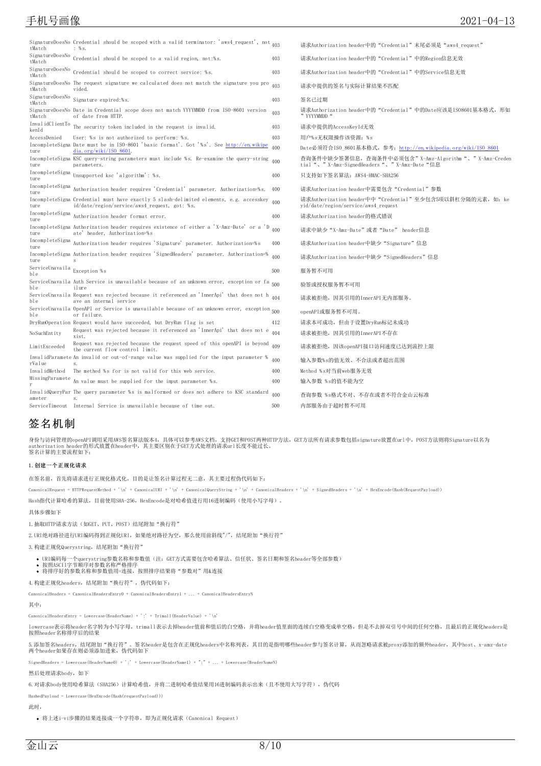## 手机号画像 2021-04-13

| tMatch                              | SignatureDoesNo Credential should be scoped with a valid terminator: 'aws4_request', not $_{403}$<br>: %s.                               |     | 请求Authorization header中的"Credential"末尾必须是"aws4 request"                                            |
|-------------------------------------|------------------------------------------------------------------------------------------------------------------------------------------|-----|----------------------------------------------------------------------------------------------------|
| tMatch                              | SignatureDoesNo Credential should be scoped to a valid region, not:%s.                                                                   | 403 | 请求Authorization header中的"Credential"中的Region信息无效                                                   |
| SignatureDoesNo<br>tMatch           | Credential should be scoped to correct service: %s.                                                                                      | 403 | 请求Authorization header中的"Credential"中的Service信息无效                                                  |
| tMatch                              | SignatureDoesNo The request signature we calculated does not match the signature you pro $_{403}$<br>vided.                              |     | 请求中提供的签名与实际计算结果不匹配                                                                                 |
| tMatch                              | $\begin{array}{lcl} \text{Signal} \text{tureDoes} \text{No} & \text{Signal} \text{ture} \text{ expired:} \text{\%s}. \end{array}$        | 403 | 签名已过期                                                                                              |
| tMatch                              | SignatureDoesNo Date in Credential scope does not match YYYYMMDD from ISO-8601 version<br>of date from HTTP.                             | 403 | 请求Authorization header中的"Credential"中的Date应该是IS08601基本格式,形如<br>" YYYYMMDD "                        |
| kenId                               | InvalidClientTo The security token included in the request is invalid.                                                                   | 403 | 请求中提供的AccessKeyId无效                                                                                |
| AccessDenied                        | User: %s is not authorized to perform: %s.                                                                                               | 403 | 用户%s无权限操作该资源: %s                                                                                   |
| ture                                | IncompleteSigna Date must be in ISO-8601 'basic format'. Got '%s'. See http://en.wikipe<br>$dia.org/wiki/ISO$ 8601.                      | 400 | Date必须符合ISO 8601基本格式,参考: http://en.wikipedia.org/wiki/ISO 8601                                     |
| ture                                | IncompleteSigna KSC query-string parameters must include %s. Re-examine the query-string 400<br>parameters.                              |     | 查询条件中缺少签署信息,查询条件中必须包含"X-Amz-Algorithm"、"X-Amz-Creden<br>tial"、"X-Amz-SignedHeaders"、"X-Amz-Date"信息 |
| IncompleteSigna<br>ture             | Unsupported ksc 'algorithm': %s.                                                                                                         | 400 | 只支持如下签名算法: AWS4-HMAC-SHA256                                                                        |
| ture                                | IncompleteSigna Authorization header requires 'Credential' parameter. Authorization=%s.                                                  | 400 | 请求Authorization header中需要包含"Credential"参数                                                          |
| ture                                | IncompleteSigna Credential must have exactly 5 slash-delimited elements, e.g. accesskey<br>id/date/region/service/aws4 request, got: %s. | 400 | 请求Authorization header中中"Credential"至少包含5项以斜杠分隔的元素,如: ke<br>yid/date/region/service/aws4 request   |
| IncompleteSigna<br>ture             | Authorization header format error.                                                                                                       | 400 | 请求Authorization header的格式错误                                                                        |
| ture                                | IncompleteSigna Authorization header requires existence of either a 'X-Amz-Date' or a 'D<br>ate' header, Authorization=%s                | 400 | 请求中缺少"X-Amz-Date"或者"Date" header信息                                                                 |
| ture                                | IncompleteSigna Authorization header requires 'Signature' parameter. Authorization=%s                                                    | 400 | 请求Authorization header中缺少"Signature"信息                                                             |
| ture                                | IncompleteSigna Authorization header requires 'SignedHeaders' parameter. Authorization=%<br>$\mathbf{s}$                                 | 400 | 请求Authorization header中缺少"SignedHeaders"信息                                                         |
| ServiceUnavaila Exception %s<br>ble |                                                                                                                                          | 500 | 服务暂不可用                                                                                             |
| ble                                 | ServiceUnavaila Auth Service is unavailable because of an unknown error, exception or fa 500<br>ilure                                    |     | 验签或授权服务暂不可用                                                                                        |
| ble                                 | ServiceUnavaila Request was rejected because it referenced an 'InnerApi' that does not h 404<br>ave an internal service                  |     | 请求被拒绝, 因其引用的InnerAPI无内部服务。                                                                         |
| ble                                 | ServiceUnavaila OpenAPI or Service is unavailable because of an unknown error, exception 500<br>or failure.                              |     | openAPI或服务暂不可用。                                                                                    |
|                                     | DryRunOperation Request would have succeeded, but DryRun flag is set                                                                     | 412 | 请求本可成功,但由于设置DryRun标记未成功                                                                            |
| NoSuchEntity                        | Request was rejected because it referenced an 'InnerApi' that does not e<br>xist.                                                        | 404 | 请求被拒绝,因其引用的InnerAPI不存在                                                                             |
| LimitExceeded                       | Request was rejected because the request speed of this openAPI is beyond<br>the current flow control limit.                              | 409 | 请求被拒绝, 因该openAPI接口访问速度已达到流控上限                                                                      |
| rValue                              | InvalidParamete An invalid or out-of-range value was supplied for the input parameter %                                                  | 400 | 输入参数%s的值无效、不合法或者超出范围                                                                               |
| InvalidMethod                       | The method %s for is not valid for this web service.                                                                                     | 400 | Method %s对当前web服务无效                                                                                |
|                                     | $\text{MissingParameter } \texttt{An value must be supplied for the input parameter } \texttt{\%s}.$                                     | 400 | 输入参数 %s的值不能为空                                                                                      |
| ameter                              | InvalidQueryPar The query parameter %s is malformed or does not adhere to KSC standard                                                   | 400 | 查询参数 %s格式不对、不存在或者不符合金山云标准                                                                          |
|                                     | ServiceTimeout Internal Service is unavailable because of time out.                                                                      | 500 | 内部服务由于超时暂不可用                                                                                       |

## <span id="page-7-0"></span>签名机制

身份与访问管理的openAPI调用采用AWS签名算法版本4,具体可以参考AWS文档,支持GET和POST两种HTTP方法,GET方法所有请求参数包括signature放置在url中,POST方法则将Signature以名为 authorization header的形式放置在header中,其主要区别在于GET方式处理的请求url长度不能过长。 签名计算的主要流程如下:

#### <span id="page-7-1"></span>1.创建一个正规化请求

在签名前,首先将请求进行正规化格式化,目的是让签名计算过程无二意,其主要过程伪代码如下:

 $\label{eq:1} \text{C} \text{anonicalRequest} = \text{HTTPRequestWeb} + \text{'\texttt{n'} + \texttt{C} \text{anonicalURLI + '}\texttt{n'} + \texttt{C} \text{anonicalQueryString + '}\texttt{n'} + \texttt{C} \text{anonicalHeaders + '}\texttt{n'} + \texttt{SignedHeaders + '}\texttt{n'} + \texttt{H} \texttt{x}\\ \texttt{D} \texttt{C} \texttt{D} \texttt{C} \texttt{D} \texttt{D} \texttt{D} \texttt{A} \texttt{D} \texttt{D} \texttt{A} \texttt{D} \texttt{D} \texttt{A} \texttt{D} \text$ 

Hash指代计算哈希的算法, 目前使用SHA-256, HexEncode是对哈希值进行用16进制编码(使用小写字母)。

#### 具体步骤如下

1.抽取HTTP请求方法(如GET、PUT、POST)结尾附加"换行符"

2. URI绝对路径进行URI编码得到正规化URI, 如果绝对路径为空, 那么使用前斜线"/", 结尾附加"换行符"

3.构建正规化Querystring,结尾附加"换行符"

URI编码每一个querystring参数名称和参数值(注: GET方式需要包含哈希算法、信任状、签名日期和签名header等全部参数)<br>按照ASCII字节顺序对参数名称严格排序<br>将排序好的参数名称和参数值用=连接,按照排序结果将"参数对"用&连接

4. 构建正规化headers, 结尾附加"换行符", 伪代码如下:

CanonicalHeaders = CanonicalHeadersEntry0 + CanonicalHeadersEntry1 + ... + CanonicalHeadersEntryN

#### 其中:

CanonicalHeadersEntry = Lowercase(HeaderName) + ':' + Trimall(HeaderValue) + '\n'

lowercase表示将header名字转为小写字母,trimall表示去掉header值前和值后的白空格,并将header值里面的连续白空格变成单空格,但是不去掉双引号中间的任何空格,且最后的正规化headers是 按照header名称排序后的结果

5.添加签名headers,结尾附加"换行符"。签名header是包含在正规化headers中名称列表,其目的是指明哪些header参与签名计算,从而忽略请求被proxy添加的额外header,其中host、x-amz-date o. https://www.pincater.st.com/pincater.com/pincater.com/pincater.com/pincater.com/<br>两个header如果存在则必须添加进来, 伪代码如下

SignedHeaders = Lowercase(HeaderName0) + ';' + Lowercase(HeaderName1) + ";" + ... + Lowercase(HeaderNameN)

#### 然后处理请求body,如下

6. 对请求body使用哈希算法(SHA256)计算哈希值,并将二进制哈希值结果用16进制编码表示出来(且不使用大写字符),伪代码

HashedPayload = Lowercase(HexEncode(Hash(requestPayload)))

此时,

将上述i-vi步骤的结果连接成一个字符串,即为正规化请求(Canonical Request)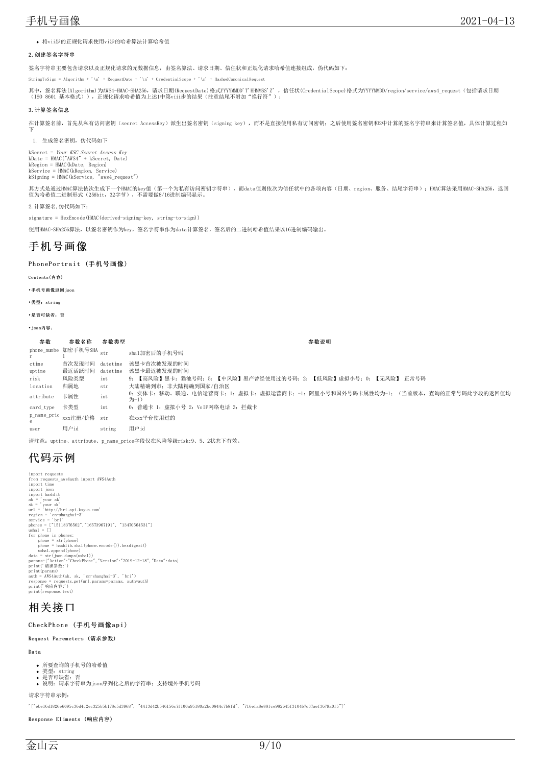将vii步的正规化请求使用vi步的哈希算法计算哈希值

#### <span id="page-8-0"></span>2.创建签名字符串

签名字符串主要包含请求以及正规化请求的元数据信息,由签名算法、请求日期、信任状和正规化请求哈希值连接组成,伪代码如下:

StringToSign = Algorithm + '\n' + RequestDate + '\n' + CredentialScope + '\n' + HashedCanonicalRequest

其中,签名算法(Algorithm)为AWS4-HMAC-SHA256,请求日期(RequestDate)格式YYYYMMDD'T'HHMMSS'Z' ,信任状(CredentialScope)格式为YYYYMMDD/region/service/aws4\_request(包括请求日期<br>(ISO 8601 基本格式)),正规化请求哈希值为上述1中第viii步的结果(注意结尾不附加"换行符");

#### <span id="page-8-1"></span>3.计算签名信息

在计算签名前,首先从私有访问密钥(secret AccessKey)派生出签名密钥(signing key),而不是直接使用私有访问密钥;之后使用签名密钥和2中计算的签名字符串来计算签名值,具体计算过程如 下

1. 生成签名密钥, 伪代码如下

kSecret = *Your KSC Secret Access Key*<br>kDate = HMAC("AWS4" + kSecret, Date)<br>kRegion = HMAC(kDate, Region)<br>kService = HMAC(kRegion, Service)<br>kSigning = HMAC(kService, "aws4\_request")

其方式是通过HMAC算法依次生成下一个HMAC的key值(第一个为私有访问密钥字符串),而data值则依次为信任状中的各项内容(日期、region、服务、结尾字符串);HMAC算法采用HMAC-SHA256,返回<br>值为哈希值二进制形式(256bit,32字节),不需要做8/16进制编码显示。

2.计算签名,伪代码如下:

signature = HexEncode(HMAC(derived-signing-key, string-to-sign))

使用HMAC-SHA256算法, 以签名密钥作为key, 签名字符串作为data计算签名, 签名后的二进制哈希值结果以16进制编码输出。

## <span id="page-8-2"></span>手机号画像

#### <span id="page-8-3"></span>PhonePortrait (手机号画像)

<span id="page-8-4"></span>Contents(内容)

<span id="page-8-5"></span>•手机号画像返回json

<span id="page-8-6"></span>•类型:string

<span id="page-8-7"></span>•是否可缺省:否

<span id="page-8-8"></span>•json内容:

#### 参数 参数名称 参数类型 あんしゃ あんしゃ あんしゃ あんしゃ あいじゅん あいじゅう 参数说明 phone\_numbe 加密手机号SHA <sub>s</sub><br>r 1 sha1加密后的手机号码 ctime 首次发现时间 datetime 该黑卡首次被发现的时间 uptime 最近活跃时间 datetime 该黑卡最近被发现的时间 risk 风险类型 int 9:【高风险】黑卡:猫池号码;5:【中风险】黑产曾经使用过的号码;2:【低风险】虚拟小号;0:【无风险】 正常号码 nocation 归属地 str 大陆精确到市;非大陆精确到国家/自治区 attribute 卡属性 int 0:实体卡:移动、联通、电信运营商卡;1:虚拟卡;虚拟运营商卡;-1:阿里小号和国外号码卡属性均为-1;(当前版本,查询的正常号码此字段的返回值均  $<sup>2</sup>$ </sup> card\_type 卡类型 int 0:普通卡 1:虚拟小号 2:VoIP网络电话 3:拦截卡 p\_name\_pric e 在xxx平台使用过的 user 用户id string 用户id

请注意: uptime、attribute、p\_name\_price字段仅在风险等级risk:9、5、2状态下有效。

# <span id="page-8-9"></span>代码示例

import requests from requests\_aws4auth import AWS4Auth import time import json import hashlib ak = 'your ak' sk = 'your sk' url = 'http://bri.api.ksyun.com' region = 'cn-shanghai-3' service = 'bri'<br>phones = ["15118376562","16573967191", "13470564531"]<br>ushal = []<br>for phone in phones: phone = str(phone) phone = hashlib.sha1(phone.encode()).hexdigest()  $\theta$  ushal. append (phone)<br>data = str (son. dumps (ushal)) data = str(json.dumps(ushal))<br>params={"Action":"CheckPhone","Version":"2019-12-18","Data":data}<br>print('请求参数:') print(params)<br>auth = AWS4Auth(ak, sk, 'cn-shanghai-3', 'bri')<br>response = requests.get(url,params=params, auth=auth)<br>print("朝应内容:')<br>print(response.text)

## <span id="page-8-10"></span>相关接口

#### <span id="page-8-11"></span>CheckPhone (手机号画像api)

#### <span id="page-8-12"></span>Request Pa rem eters (请求参数)

<span id="page-8-13"></span>Da ta

- 所要查询的手机号的哈希值
- <sub>///文量 min」<br>类型: string<br>是否可缺省: 否</sub>
- 
- 是否可缺省:否<br>说明:请求字符串为json序列化之后的字符串;支持境外手机号码

请求字符串示例:

'["ebe16d1826e6095c36d4c2ec325b5b178c5d3968", "4413d42b546156c7f100a95180a2bc0844c7b8fd", "716efa8e88fce982645f3104b7c37aef3679a0f5"]'

#### <span id="page-8-14"></span>Respo nse El im ents (响应内容)